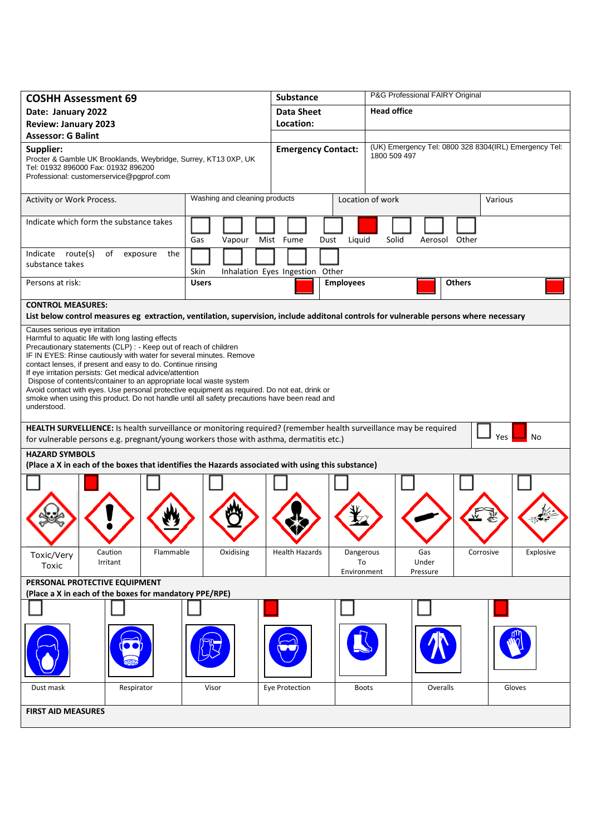| <b>COSHH Assessment 69</b>                                                                                                                                                                                                                                                                                                                                                                                                                                                                                                                                                                                                                    |                               | <b>Substance</b>                | P&G Professional FAIRY Original             |                                                       |  |  |
|-----------------------------------------------------------------------------------------------------------------------------------------------------------------------------------------------------------------------------------------------------------------------------------------------------------------------------------------------------------------------------------------------------------------------------------------------------------------------------------------------------------------------------------------------------------------------------------------------------------------------------------------------|-------------------------------|---------------------------------|---------------------------------------------|-------------------------------------------------------|--|--|
| Date: January 2022                                                                                                                                                                                                                                                                                                                                                                                                                                                                                                                                                                                                                            |                               | <b>Data Sheet</b>               | <b>Head office</b>                          |                                                       |  |  |
| <b>Review: January 2023</b>                                                                                                                                                                                                                                                                                                                                                                                                                                                                                                                                                                                                                   |                               | Location:                       |                                             |                                                       |  |  |
| <b>Assessor: G Balint</b>                                                                                                                                                                                                                                                                                                                                                                                                                                                                                                                                                                                                                     |                               |                                 |                                             |                                                       |  |  |
| Supplier:<br>Procter & Gamble UK Brooklands, Weybridge, Surrey, KT13 0XP, UK<br>Tel: 01932 896000 Fax: 01932 896200<br>Professional: customerservice@pgprof.com                                                                                                                                                                                                                                                                                                                                                                                                                                                                               |                               | <b>Emergency Contact:</b>       | 1800 509 497                                | (UK) Emergency Tel: 0800 328 8304(IRL) Emergency Tel: |  |  |
| Activity or Work Process.                                                                                                                                                                                                                                                                                                                                                                                                                                                                                                                                                                                                                     | Washing and cleaning products |                                 | Location of work                            | Various                                               |  |  |
| Indicate which form the substance takes                                                                                                                                                                                                                                                                                                                                                                                                                                                                                                                                                                                                       | Gas<br>Vapour                 | Mist Fume<br>Liquid<br>Dust     | Solid                                       | Aerosol Other                                         |  |  |
| Indicate route(s)<br>of<br>exposure<br>the<br>substance takes                                                                                                                                                                                                                                                                                                                                                                                                                                                                                                                                                                                 | Skin                          | Inhalation Eyes Ingestion Other |                                             |                                                       |  |  |
| Persons at risk:                                                                                                                                                                                                                                                                                                                                                                                                                                                                                                                                                                                                                              | <b>Users</b>                  | <b>Employees</b>                |                                             | <b>Others</b>                                         |  |  |
| <b>CONTROL MEASURES:</b><br>List below control measures eg extraction, ventilation, supervision, include additonal controls for vulnerable persons where necessary                                                                                                                                                                                                                                                                                                                                                                                                                                                                            |                               |                                 |                                             |                                                       |  |  |
| Causes serious eye irritation<br>Harmful to aquatic life with long lasting effects<br>Precautionary statements (CLP) : - Keep out of reach of children<br>IF IN EYES: Rinse cautiously with water for several minutes. Remove<br>contact lenses, if present and easy to do. Continue rinsing<br>If eye irritation persists: Get medical advice/attention<br>Dispose of contents/container to an appropriate local waste system<br>Avoid contact with eyes. Use personal protective equipment as required. Do not eat, drink or<br>smoke when using this product. Do not handle until all safety precautions have been read and<br>understood. |                               |                                 |                                             |                                                       |  |  |
| HEALTH SURVELLIENCE: Is health surveillance or monitoring required? (remember health surveillance may be required<br>Yes<br>No<br>for vulnerable persons e.g. pregnant/young workers those with asthma, dermatitis etc.)                                                                                                                                                                                                                                                                                                                                                                                                                      |                               |                                 |                                             |                                                       |  |  |
| <b>HAZARD SYMBOLS</b><br>(Place a X in each of the boxes that identifies the Hazards associated with using this substance)                                                                                                                                                                                                                                                                                                                                                                                                                                                                                                                    |                               |                                 |                                             |                                                       |  |  |
|                                                                                                                                                                                                                                                                                                                                                                                                                                                                                                                                                                                                                                               |                               |                                 |                                             |                                                       |  |  |
| Caution<br>Flammable<br>Toxic/Very<br>Irritant<br>Toxic                                                                                                                                                                                                                                                                                                                                                                                                                                                                                                                                                                                       | Oxidising                     | <b>Health Hazards</b>           | Dangerous<br>Gas<br>To<br>Under<br>Pressure | Explosive<br>Corrosive                                |  |  |
| Environment<br>PERSONAL PROTECTIVE EQUIPMENT                                                                                                                                                                                                                                                                                                                                                                                                                                                                                                                                                                                                  |                               |                                 |                                             |                                                       |  |  |
| (Place a X in each of the boxes for mandatory PPE/RPE)                                                                                                                                                                                                                                                                                                                                                                                                                                                                                                                                                                                        |                               |                                 |                                             |                                                       |  |  |
|                                                                                                                                                                                                                                                                                                                                                                                                                                                                                                                                                                                                                                               |                               |                                 |                                             |                                                       |  |  |
|                                                                                                                                                                                                                                                                                                                                                                                                                                                                                                                                                                                                                                               |                               |                                 |                                             |                                                       |  |  |
| Dust mask<br>Respirator                                                                                                                                                                                                                                                                                                                                                                                                                                                                                                                                                                                                                       | Visor                         | Eye Protection                  | Overalls<br><b>Boots</b>                    | Gloves                                                |  |  |
| <b>FIRST AID MEASURES</b>                                                                                                                                                                                                                                                                                                                                                                                                                                                                                                                                                                                                                     |                               |                                 |                                             |                                                       |  |  |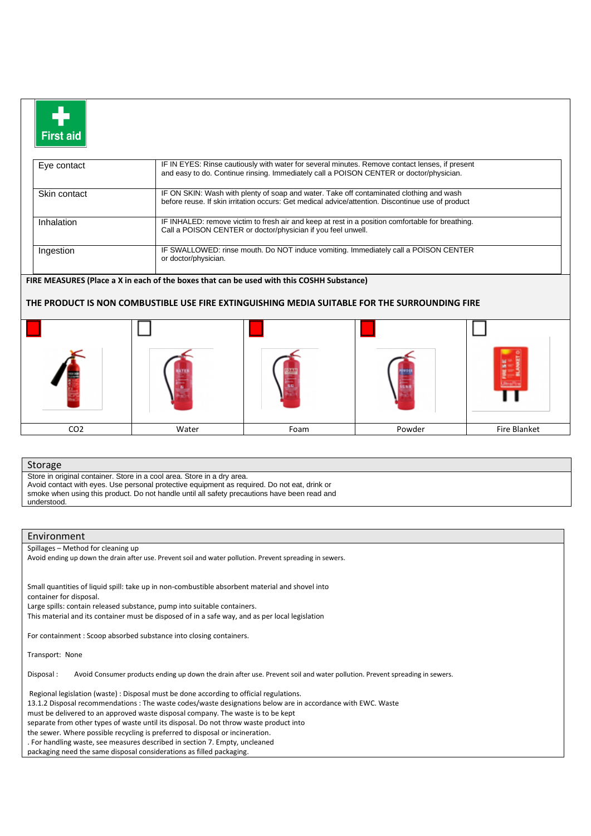| First aid |
|-----------|

| Eye contact  | IF IN EYES: Rinse cautiously with water for several minutes. Remove contact lenses, if present<br>and easy to do. Continue rinsing. Immediately call a POISON CENTER or doctor/physician.    |  |
|--------------|----------------------------------------------------------------------------------------------------------------------------------------------------------------------------------------------|--|
| Skin contact | IF ON SKIN: Wash with plenty of soap and water. Take off contaminated clothing and wash<br>before reuse. If skin irritation occurs: Get medical advice/attention. Discontinue use of product |  |
| Inhalation   | IF INHALED: remove victim to fresh air and keep at rest in a position comfortable for breathing.<br>Call a POISON CENTER or doctor/physician if you feel unwell.                             |  |
| Ingestion    | IF SWALLOWED: rinse mouth. Do NOT induce vomiting. Immediately call a POISON CENTER<br>or doctor/physician.                                                                                  |  |

## **FIRE MEASURES (Place a X in each of the boxes that can be used with this COSHH Substance)**

## **THE PRODUCT IS NON COMBUSTIBLE USE FIRE EXTINGUISHING MEDIA SUITABLE FOR THE SURROUNDING FIRE**



## Storage

Store in original container. Store in a cool area. Store in a dry area. Avoid contact with eyes. Use personal protective equipment as required. Do not eat, drink or

smoke when using this product. Do not handle until all safety precautions have been read and understood.

## Environment

Spillages – Method for cleaning up

Avoid ending up down the drain after use. Prevent soil and water pollution. Prevent spreading in sewers.

Small quantities of liquid spill: take up in non-combustible absorbent material and shovel into container for disposal.

Large spills: contain released substance, pump into suitable containers.

This material and its container must be disposed of in a safe way, and as per local legislation

For containment : Scoop absorbed substance into closing containers.

Transport: None

Disposal : Avoid Consumer products ending up down the drain after use. Prevent soil and water pollution. Prevent spreading in sewers.

Regional legislation (waste) : Disposal must be done according to official regulations.

13.1.2 Disposal recommendations : The waste codes/waste designations below are in accordance with EWC. Waste

must be delivered to an approved waste disposal company. The waste is to be kept

separate from other types of waste until its disposal. Do not throw waste product into

the sewer. Where possible recycling is preferred to disposal or incineration.

. For handling waste, see measures described in section 7. Empty, uncleaned

packaging need the same disposal considerations as filled packaging.